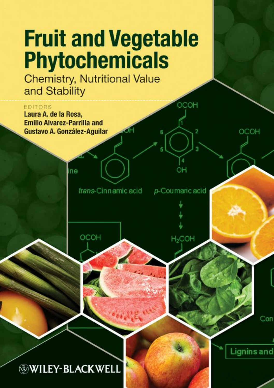## **Fruit and Vegetable Phytochemicals**

**Chemistry, Nutritional Value** and Stability



**WILEY-BLACKWELL**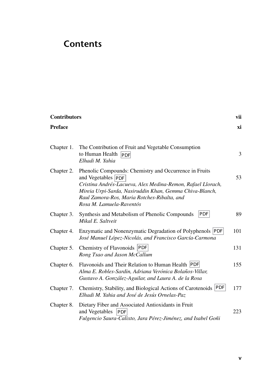## **Contents**

| <b>Contributors</b> |                                                                                                                                                                                                                                                                                   | vii |
|---------------------|-----------------------------------------------------------------------------------------------------------------------------------------------------------------------------------------------------------------------------------------------------------------------------------|-----|
| <b>Preface</b>      |                                                                                                                                                                                                                                                                                   | хi  |
| Chapter 1.          | The Contribution of Fruit and Vegetable Consumption<br>to Human Health PDF<br>Elhadi M. Yahia                                                                                                                                                                                     | 3   |
| Chapter 2.          | Phenolic Compounds: Chemistry and Occurrence in Fruits<br>and Vegetables PDF<br>Cristina Andrés-Lacueva, Alex Medina-Remon, Rafael Llorach,<br>Mireia Urpi-Sarda, Nasiruddin Khan, Gemma Chiva-Blanch,<br>Raul Zamora-Ros, Maria Rotches-Ribalta, and<br>Rosa M. Lamuela-Raventós | 53  |
| Chapter 3.          | <b>PDF</b><br>Synthesis and Metabolism of Phenolic Compounds<br>Mikal E. Saltveit                                                                                                                                                                                                 | 89  |
| Chapter 4.          | Enzymatic and Nonenzymatic Degradation of Polyphenols PDF<br>José Manuel López-Nicolás, and Francisco García-Carmona                                                                                                                                                              | 101 |
| Chapter 5.          | Chemistry of Flavonoids PDF<br>Rong Tsao and Jason McCallum                                                                                                                                                                                                                       | 131 |
| Chapter 6.          | Flavonoids and Their Relation to Human Health PDF<br>Alma E. Robles-Sardin, Adriana Verónica Bolaños-Villar,<br>Gustavo A. González-Aguilar, and Laura A. de la Rosa                                                                                                              | 155 |
| Chapter 7.          | Chemistry, Stability, and Biological Actions of Carotenoids PDF<br>Elhadi M. Yahia and José de Jesús Ornelas-Paz                                                                                                                                                                  | 177 |
| Chapter 8.          | Dietary Fiber and Associated Antioxidants in Fruit<br>and Vegetables PDF<br>Fulgencio Saura-Calixto, Jara Pérez-Jiménez, and Isabel Goñi                                                                                                                                          | 223 |